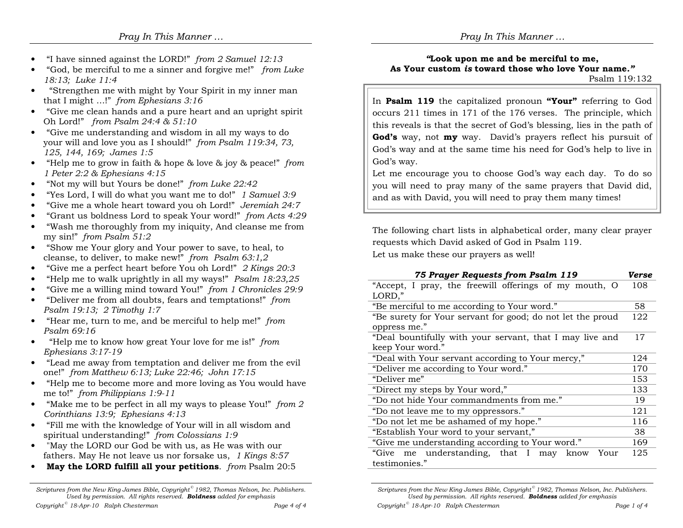- •• "I have sinned against the LORD!" *from 2 Samuel 12:13*<br>• "Cod, he maniful to me a sinner and family mal", from
- •• "God, be merciful to me a sinner and forgive me!" *from Luke*<br> $18.13:$  Luke  $11.4$ 18:13; Luke 11:4
- "Strengthen me with might by Your Spirit in my inner man •that I might …!" from Ephesians 3:16
- "Give me clean hands and a pure heart and an upright spirit Oh Lord!" from Psalm 24:4 & 51:10
- "Give me understanding and wisdom in all my ways to do your will and love you as I should!" from Psalm 119:34, 73, 125, 144, 169; James 1:5
- "Help me to grow in faith & hope & love & joy & peace!" from 1 Peter 2:2 & Ephesians 4:15
- "Not my will but Yours be done!" from Luke 22:42 •
- •"Yes Lord, I will do what you want me to do!" 1 Samuel 3:9
- •"Give me a whole heart toward you oh Lord!" Jeremiah 24:7
- •"Grant us boldness Lord to speak Your word!" from Acts 4:29
- "Wash me thoroughly from my iniquity, And cleanse me from •my sin!" from Psalm 51:2
- "Show me Your glory and Your power to save, to heal, to  $\bullet$ cleanse, to deliver, to make new!" *from Psalm* 63:1,2<br>"Circ me a newfort has the face You ab Land!" 2 *Ving*
- •"Give me a perfect heart before You oh Lord!" 2 Kings 20:3
- . "Help me to walk uprightly in all my ways!"  $P$ salm 18:23,25 •
- "Give me a willing mind toward You!" *from 1 Chronicles 29:9*<br>• "Deliver me from all doubte, fears and term tational" from •
- • "Deliver me from all doubts, fears and temptations!" from Psalm 19:13; 2 Timothy 1:7
- "Hear me, turn to me, and be merciful to help me!" from Psalm 69:16
- "Help me to know how great Your love for me is!"  $from$ Ephesians 3:17-19
- "Lead me away from temptation and deliver me from the evil one!" from Matthew 6:13; Luke 22:46; John 17:15
- "Help me to become more and more loving as You would have me to!" from Philippians 1:9-11
- "Make me to be perfect in all my ways to please You!"  $from 2$ Corinthians 13:9; Ephesians 4:13
- "Fill me with the knowledge of Your will in all wisdom and spiritual understanding!" from Colossians 1:9
- "May the LORD our God be with us, as He was with our fathers. May He not leave us nor forsake us, 1 Kings 8:57
- May the LORD fulfill all your petitions.  $from$  Psalm 20:5

Scriptures from the New King James Bible, Copyright<sup>®</sup> 1982, Thomas Nelson, Inc. Publishers. Used by permission. All rights reserved. **Boldness** added for emphasis

## "Look upon me and be merciful to me, As Your custom is toward those who love Your name."

Psalm 119:132

In **Psalm 119** the capitalized pronoun "Your" referring to God occurs 211 times in 171 of the 176 verses. The principle, which this reveals is that the secret of God's blessing, lies in the path of God's way, not **my** way. David's prayers reflect his pursuit of God's way and at the same time his need for God's help to live in God's way.

Let me encourage you to choose God's way each day. To do so you will need to pray many of the same prayers that David did, and as with David, you will need to pray them many times!

The following chart lists in alphabetical order, many clear prayer requests which David asked of God in Psalm 119.

Let us make these our prayers as well!

Copyright<sup> $^{\circ}$ </sup> 18-Apr-10 Ralph Chesterman

| 75 Prayer Requests from Psalm 119                          | Verse |
|------------------------------------------------------------|-------|
| "Accept, I pray, the freewill offerings of my mouth, O     | 108   |
| LORD,"                                                     |       |
| "Be merciful to me according to Your word."                | 58    |
| "Be surety for Your servant for good; do not let the proud | 122   |
| oppress me."                                               |       |
| "Deal bountifully with your servant, that I may live and   | 17    |
| keep Your word."                                           |       |
| "Deal with Your servant according to Your mercy,"          | 124   |
| "Deliver me according to Your word."                       | 170   |
| "Deliver me"                                               | 153   |
| "Direct my steps by Your word,"                            | 133   |
| "Do not hide Your commandments from me."                   | 19    |
| "Do not leave me to my oppressors."                        | 121   |
| "Do not let me be ashamed of my hope."                     | 116   |
| "Establish Your word to your servant,"                     | 38    |
| "Give me understanding according to Your word."            | 169   |
| "Give<br>me understanding, that I may<br>know<br>Your      | 125   |
| testimonies."                                              |       |

Scriptures from the New King James Bible, Copyright  $\degree$  1982, Thomas Nelson, Inc. Publishers. Used by permission. All rights reserved. **Boldness** added for emphasis